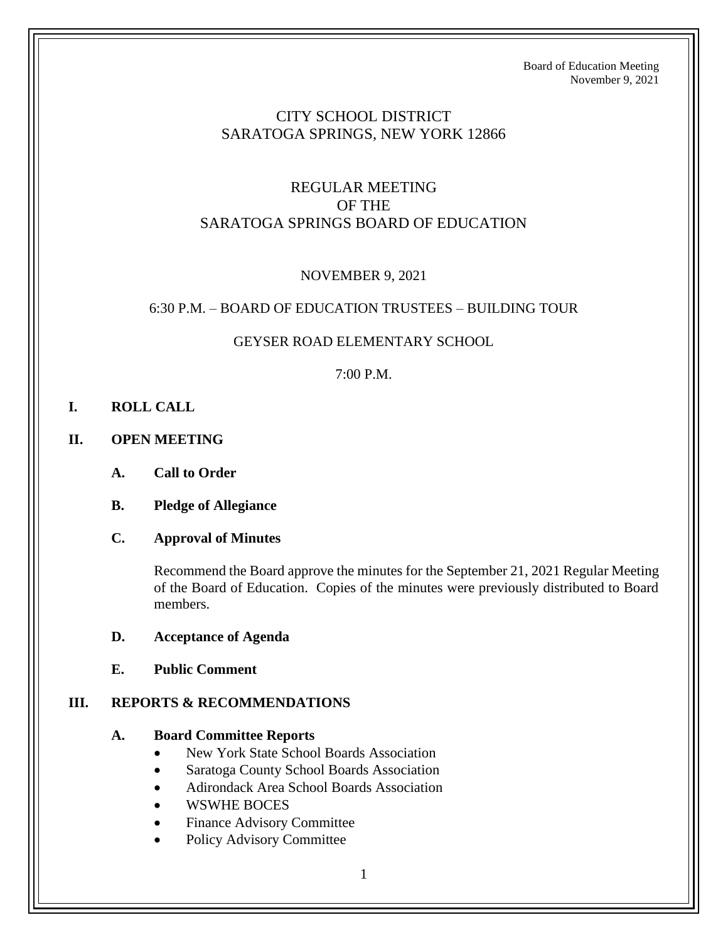## CITY SCHOOL DISTRICT SARATOGA SPRINGS, NEW YORK 12866

# REGULAR MEETING OF THE SARATOGA SPRINGS BOARD OF EDUCATION

## NOVEMBER 9, 2021

### 6:30 P.M. – BOARD OF EDUCATION TRUSTEES – BUILDING TOUR

### GEYSER ROAD ELEMENTARY SCHOOL

### 7:00 P.M.

- **I. ROLL CALL**
- **II. OPEN MEETING**
	- **A. Call to Order**
	- **B. Pledge of Allegiance**

### **C. Approval of Minutes**

Recommend the Board approve the minutes for the September 21, 2021 Regular Meeting of the Board of Education. Copies of the minutes were previously distributed to Board members.

#### **D. Acceptance of Agenda**

**E. Public Comment**

### **III. REPORTS & RECOMMENDATIONS**

#### **A. Board Committee Reports**

- New York State School Boards Association
- Saratoga County School Boards Association
- Adirondack Area School Boards Association
- WSWHE BOCES
- Finance Advisory Committee
- Policy Advisory Committee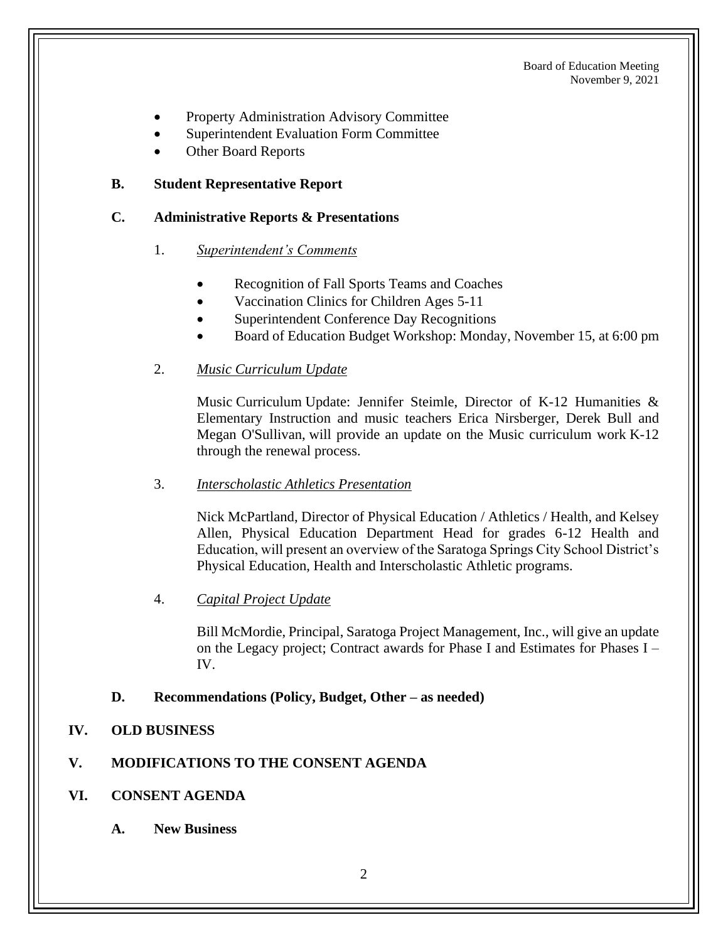- Property Administration Advisory Committee
- Superintendent Evaluation Form Committee
- Other Board Reports

## **B. Student Representative Report**

### **C. Administrative Reports & Presentations**

- 1. *Superintendent's Comments*
	- Recognition of Fall Sports Teams and Coaches
	- Vaccination Clinics for Children Ages 5-11
	- Superintendent Conference Day Recognitions
	- Board of Education Budget Workshop: Monday, November 15, at 6:00 pm
- 2. *Music Curriculum Update*

Music Curriculum Update: Jennifer Steimle, Director of K-12 Humanities & Elementary Instruction and music teachers Erica Nirsberger, Derek Bull and Megan O'Sullivan, will provide an update on the Music curriculum work K-12 through the renewal process.

3. *Interscholastic Athletics Presentation*

Nick McPartland, Director of Physical Education / Athletics / Health, and Kelsey Allen, Physical Education Department Head for grades 6-12 Health and Education, will present an overview of the Saratoga Springs City School District's Physical Education, Health and Interscholastic Athletic programs.

4. *Capital Project Update*

Bill McMordie, Principal, Saratoga Project Management, Inc., will give an update on the Legacy project; Contract awards for Phase I and Estimates for Phases I – IV.

### **D. Recommendations (Policy, Budget, Other – as needed)**

### **IV. OLD BUSINESS**

## **V. MODIFICATIONS TO THE CONSENT AGENDA**

- **VI. CONSENT AGENDA**
	- **A. New Business**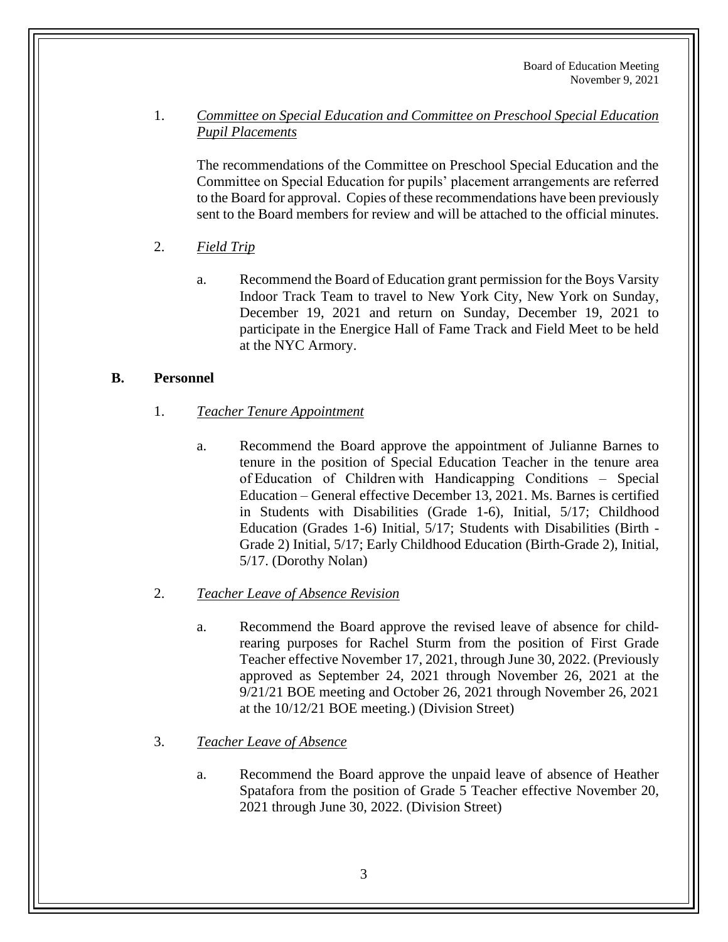1. *Committee on Special Education and Committee on Preschool Special Education Pupil Placements*

The recommendations of the Committee on Preschool Special Education and the Committee on Special Education for pupils' placement arrangements are referred to the Board for approval. Copies of these recommendations have been previously sent to the Board members for review and will be attached to the official minutes.

- 2. *Field Trip*
	- a. Recommend the Board of Education grant permission for the Boys Varsity Indoor Track Team to travel to New York City, New York on Sunday, December 19, 2021 and return on Sunday, December 19, 2021 to participate in the Energice Hall of Fame Track and Field Meet to be held at the NYC Armory.

## **B. Personnel**

- 1. *Teacher Tenure Appointment*
	- a. Recommend the Board approve the appointment of Julianne Barnes to tenure in the position of Special Education Teacher in the tenure area of Education of Children with Handicapping Conditions – Special Education – General effective December 13, 2021. Ms. Barnes is certified in Students with Disabilities (Grade 1-6), Initial, 5/17; Childhood Education (Grades 1-6) Initial, 5/17; Students with Disabilities (Birth - Grade 2) Initial, 5/17; Early Childhood Education (Birth-Grade 2), Initial, 5/17. (Dorothy Nolan)
- 2. *Teacher Leave of Absence Revision*
	- a. Recommend the Board approve the revised leave of absence for childrearing purposes for Rachel Sturm from the position of First Grade Teacher effective November 17, 2021, through June 30, 2022. (Previously approved as September 24, 2021 through November 26, 2021 at the 9/21/21 BOE meeting and October 26, 2021 through November 26, 2021 at the 10/12/21 BOE meeting.) (Division Street)

## 3. *Teacher Leave of Absence*

a. Recommend the Board approve the unpaid leave of absence of Heather Spatafora from the position of Grade 5 Teacher effective November 20, 2021 through June 30, 2022. (Division Street)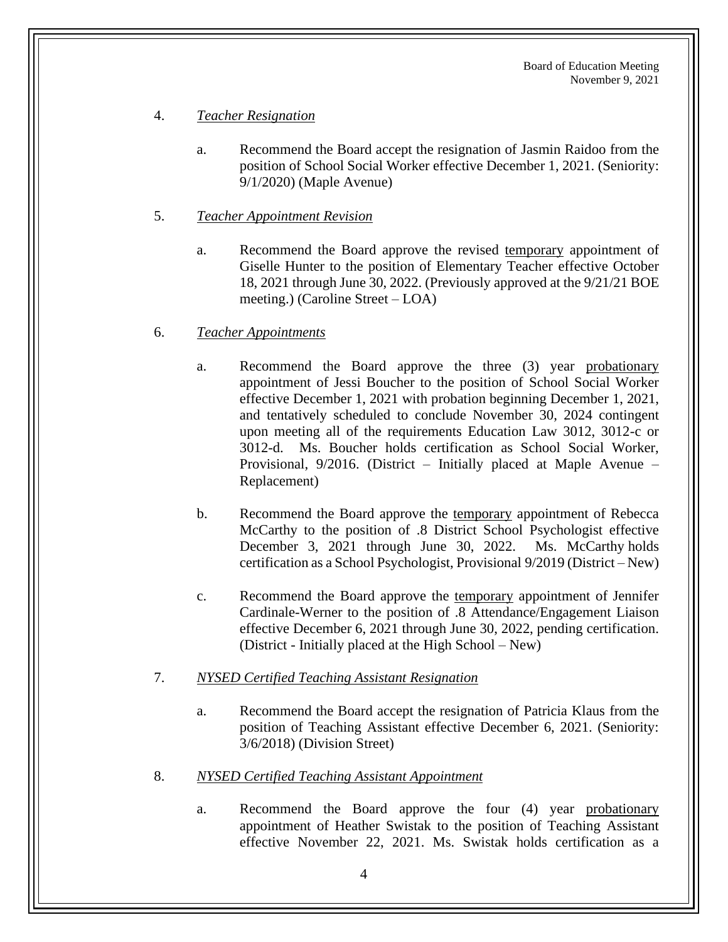### 4. *Teacher Resignation*

- a. Recommend the Board accept the resignation of Jasmin Raidoo from the position of School Social Worker effective December 1, 2021. (Seniority: 9/1/2020) (Maple Avenue)
- 5. *Teacher Appointment Revision*
	- a. Recommend the Board approve the revised temporary appointment of Giselle Hunter to the position of Elementary Teacher effective October 18, 2021 through June 30, 2022. (Previously approved at the 9/21/21 BOE meeting.) (Caroline Street – LOA)

#### 6. *Teacher Appointments*

- a. Recommend the Board approve the three (3) year probationary appointment of Jessi Boucher to the position of School Social Worker effective December 1, 2021 with probation beginning December 1, 2021, and tentatively scheduled to conclude November 30, 2024 contingent upon meeting all of the requirements Education Law 3012, 3012-c or 3012-d. Ms. Boucher holds certification as School Social Worker, Provisional, 9/2016. (District – Initially placed at Maple Avenue – Replacement)
- b. Recommend the Board approve the temporary appointment of Rebecca McCarthy to the position of .8 District School Psychologist effective December 3, 2021 through June 30, 2022. Ms. McCarthy holds certification as a School Psychologist, Provisional 9/2019 (District – New)
- c. Recommend the Board approve the temporary appointment of Jennifer Cardinale-Werner to the position of .8 Attendance/Engagement Liaison effective December 6, 2021 through June 30, 2022, pending certification. (District - Initially placed at the High School – New)

### 7. *NYSED Certified Teaching Assistant Resignation*

- a. Recommend the Board accept the resignation of Patricia Klaus from the position of Teaching Assistant effective December 6, 2021. (Seniority: 3/6/2018) (Division Street)
- 8. *NYSED Certified Teaching Assistant Appointment*
	- a. Recommend the Board approve the four (4) year probationary appointment of Heather Swistak to the position of Teaching Assistant effective November 22, 2021. Ms. Swistak holds certification as a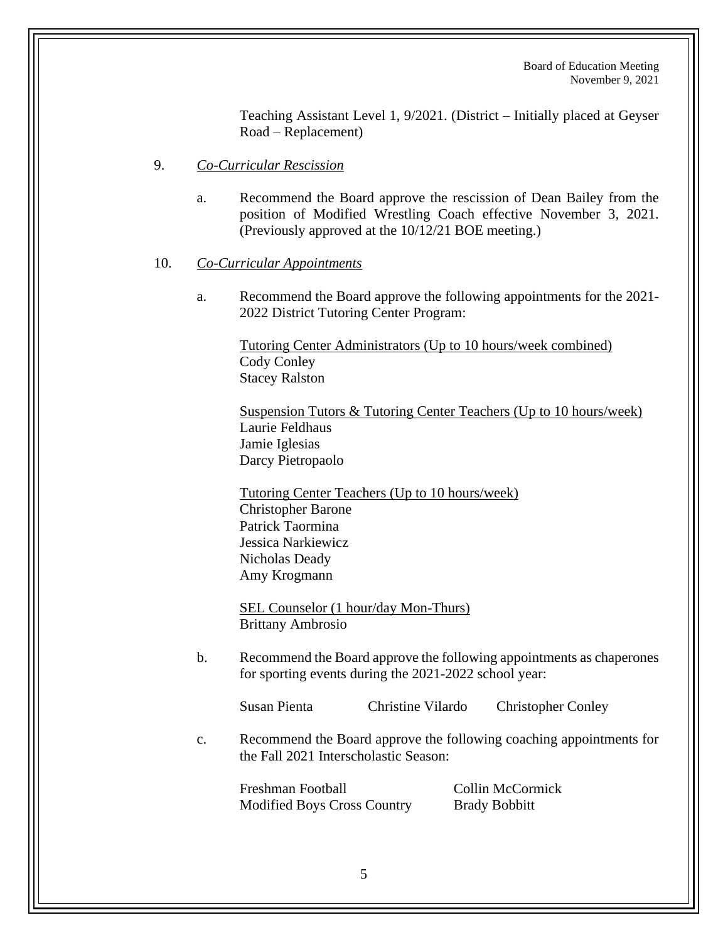Teaching Assistant Level 1, 9/2021. (District – Initially placed at Geyser Road – Replacement)

### 9. *Co-Curricular Rescission*

- a. Recommend the Board approve the rescission of Dean Bailey from the position of Modified Wrestling Coach effective November 3, 2021. (Previously approved at the 10/12/21 BOE meeting.)
- 10. *Co-Curricular Appointments*
	- a. Recommend the Board approve the following appointments for the 2021- 2022 District Tutoring Center Program:

Tutoring Center Administrators (Up to 10 hours/week combined) Cody Conley Stacey Ralston

Suspension Tutors & Tutoring Center Teachers (Up to 10 hours/week) Laurie Feldhaus Jamie Iglesias Darcy Pietropaolo

Tutoring Center Teachers (Up to 10 hours/week) Christopher Barone Patrick Taormina Jessica Narkiewicz Nicholas Deady Amy Krogmann

SEL Counselor (1 hour/day Mon-Thurs) Brittany Ambrosio

b. Recommend the Board approve the following appointments as chaperones for sporting events during the 2021-2022 school year:

Susan Pienta Christine Vilardo Christopher Conley

c. Recommend the Board approve the following coaching appointments for the Fall 2021 Interscholastic Season:

Freshman Football Collin McCormick Modified Boys Cross Country Brady Bobbitt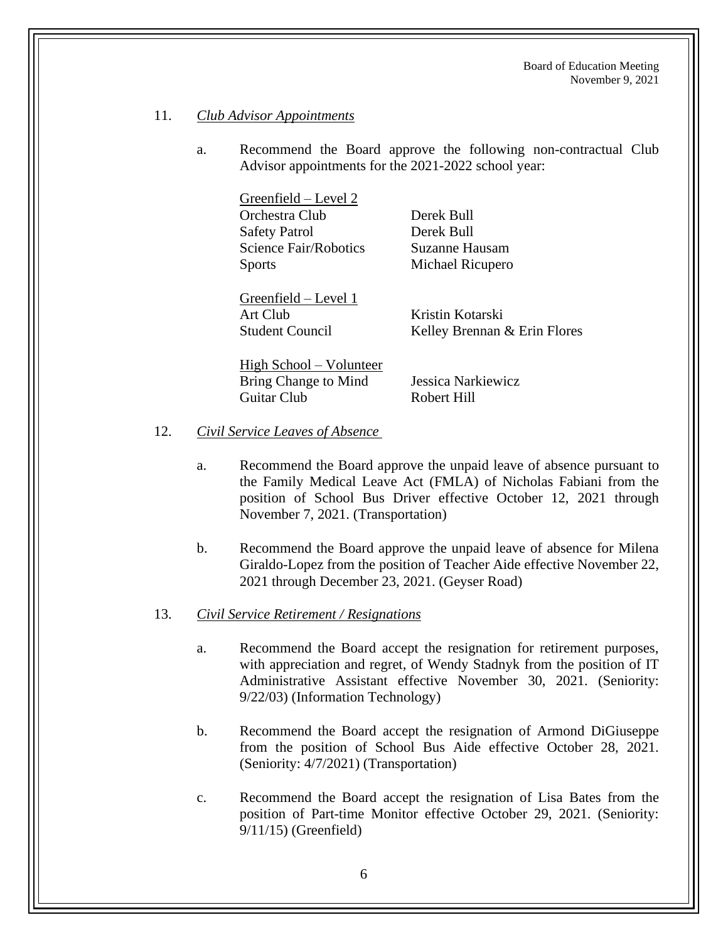#### 11. *Club Advisor Appointments*

a. Recommend the Board approve the following non-contractual Club Advisor appointments for the 2021-2022 school year:

> Greenfield – Level 2 Orchestra Club Derek Bull Safety Patrol Derek Bull Science Fair/Robotics Suzanne Hausam Sports Michael Ricupero

Greenfield – Level 1 Art Club Kristin Kotarski

Student Council Kelley Brennan & Erin Flores

High School – Volunteer Bring Change to Mind Jessica Narkiewicz Guitar Club Robert Hill

- 12. *Civil Service Leaves of Absence*
	- a. Recommend the Board approve the unpaid leave of absence pursuant to the Family Medical Leave Act (FMLA) of Nicholas Fabiani from the position of School Bus Driver effective October 12, 2021 through November 7, 2021. (Transportation)
	- b. Recommend the Board approve the unpaid leave of absence for Milena Giraldo-Lopez from the position of Teacher Aide effective November 22, 2021 through December 23, 2021. (Geyser Road)

#### 13. *Civil Service Retirement / Resignations*

- a. Recommend the Board accept the resignation for retirement purposes, with appreciation and regret, of Wendy Stadnyk from the position of IT Administrative Assistant effective November 30, 2021. (Seniority: 9/22/03) (Information Technology)
- b. Recommend the Board accept the resignation of Armond DiGiuseppe from the position of School Bus Aide effective October 28, 2021. (Seniority: 4/7/2021) (Transportation)
- c. Recommend the Board accept the resignation of Lisa Bates from the position of Part-time Monitor effective October 29, 2021. (Seniority: 9/11/15) (Greenfield)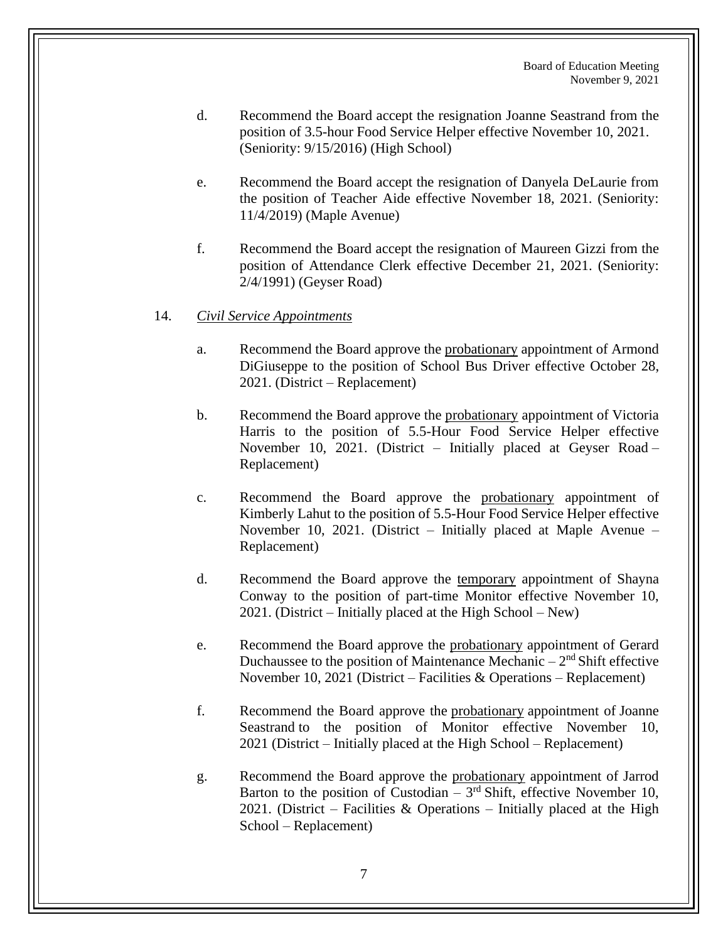- d. Recommend the Board accept the resignation Joanne Seastrand from the position of 3.5-hour Food Service Helper effective November 10, 2021. (Seniority: 9/15/2016) (High School)
- e. Recommend the Board accept the resignation of Danyela DeLaurie from the position of Teacher Aide effective November 18, 2021. (Seniority: 11/4/2019) (Maple Avenue)
- f. Recommend the Board accept the resignation of Maureen Gizzi from the position of Attendance Clerk effective December 21, 2021. (Seniority: 2/4/1991) (Geyser Road)

#### 14. *Civil Service Appointments*

- a. Recommend the Board approve the probationary appointment of Armond DiGiuseppe to the position of School Bus Driver effective October 28, 2021. (District – Replacement)
- b. Recommend the Board approve the probationary appointment of Victoria Harris to the position of 5.5-Hour Food Service Helper effective November 10, 2021. (District – Initially placed at Geyser Road – Replacement)
- c. Recommend the Board approve the probationary appointment of Kimberly Lahut to the position of 5.5-Hour Food Service Helper effective November 10, 2021. (District – Initially placed at Maple Avenue – Replacement)
- d. Recommend the Board approve the temporary appointment of Shayna Conway to the position of part-time Monitor effective November 10, 2021. (District – Initially placed at the High School – New)
- e. Recommend the Board approve the probationary appointment of Gerard Duchaussee to the position of Maintenance Mechanic  $-2<sup>nd</sup>$  Shift effective November 10, 2021 (District – Facilities & Operations – Replacement)
- f. Recommend the Board approve the probationary appointment of Joanne Seastrand to the position of Monitor effective November 10, 2021 (District – Initially placed at the High School – Replacement)
- g. Recommend the Board approve the probationary appointment of Jarrod Barton to the position of Custodian  $-3<sup>rd</sup>$  Shift, effective November 10, 2021. (District – Facilities  $&$  Operations – Initially placed at the High School – Replacement)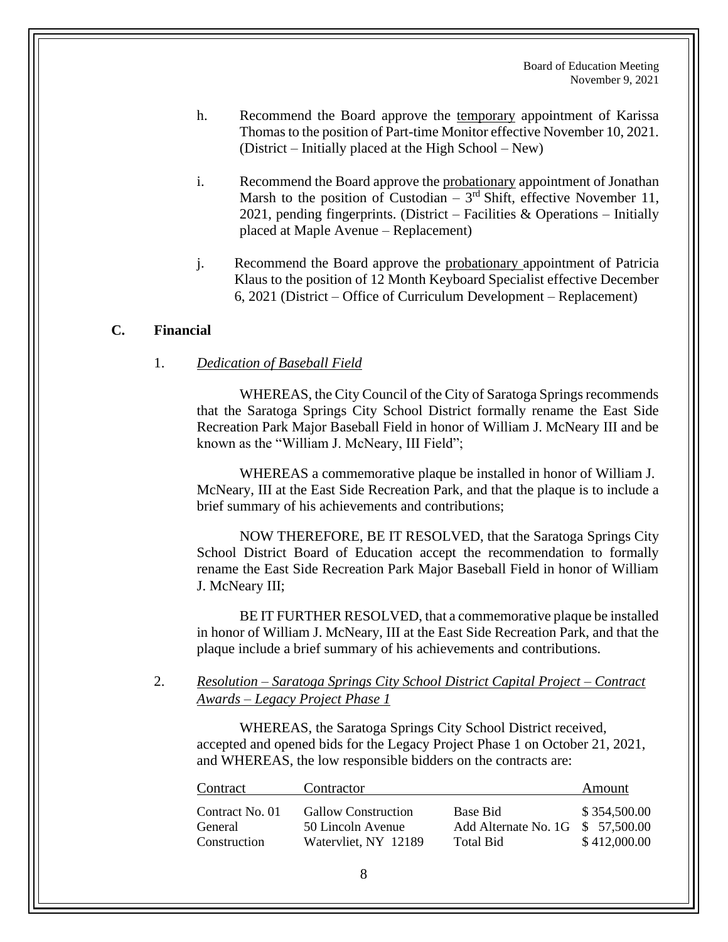- h. Recommend the Board approve the temporary appointment of Karissa Thomas to the position of Part-time Monitor effective November 10, 2021. (District – Initially placed at the High School – New)
- i. Recommend the Board approve the probationary appointment of Jonathan Marsh to the position of Custodian  $-3<sup>rd</sup>$  Shift, effective November 11, 2021, pending fingerprints. (District – Facilities & Operations – Initially placed at Maple Avenue – Replacement)
- j. Recommend the Board approve the probationary appointment of Patricia Klaus to the position of 12 Month Keyboard Specialist effective December 6, 2021 (District – Office of Curriculum Development – Replacement)

### **C. Financial**

#### 1. *Dedication of Baseball Field*

WHEREAS, the City Council of the City of Saratoga Springs recommends that the Saratoga Springs City School District formally rename the East Side Recreation Park Major Baseball Field in honor of William J. McNeary III and be known as the "William J. McNeary, III Field";

WHEREAS a commemorative plaque be installed in honor of William J. McNeary, III at the East Side Recreation Park, and that the plaque is to include a brief summary of his achievements and contributions;

NOW THEREFORE, BE IT RESOLVED, that the Saratoga Springs City School District Board of Education accept the recommendation to formally rename the East Side Recreation Park Major Baseball Field in honor of William J. McNeary III;

BE IT FURTHER RESOLVED, that a commemorative plaque be installed in honor of William J. McNeary, III at the East Side Recreation Park, and that the plaque include a brief summary of his achievements and contributions.

### 2. *Resolution – Saratoga Springs City School District Capital Project – Contract Awards – Legacy Project Phase 1*

WHEREAS, the Saratoga Springs City School District received, accepted and opened bids for the Legacy Project Phase 1 on October 21, 2021, and WHEREAS, the low responsible bidders on the contracts are:

| Contract                                   | Contractor                                                              |                                                            | Amount                       |
|--------------------------------------------|-------------------------------------------------------------------------|------------------------------------------------------------|------------------------------|
| Contract No. 01<br>General<br>Construction | <b>Gallow Construction</b><br>50 Lincoln Avenue<br>Watervliet, NY 12189 | Base Bid<br>Add Alternate No. 1G \$ 57,500.00<br>Total Bid | \$354,500.00<br>\$412,000.00 |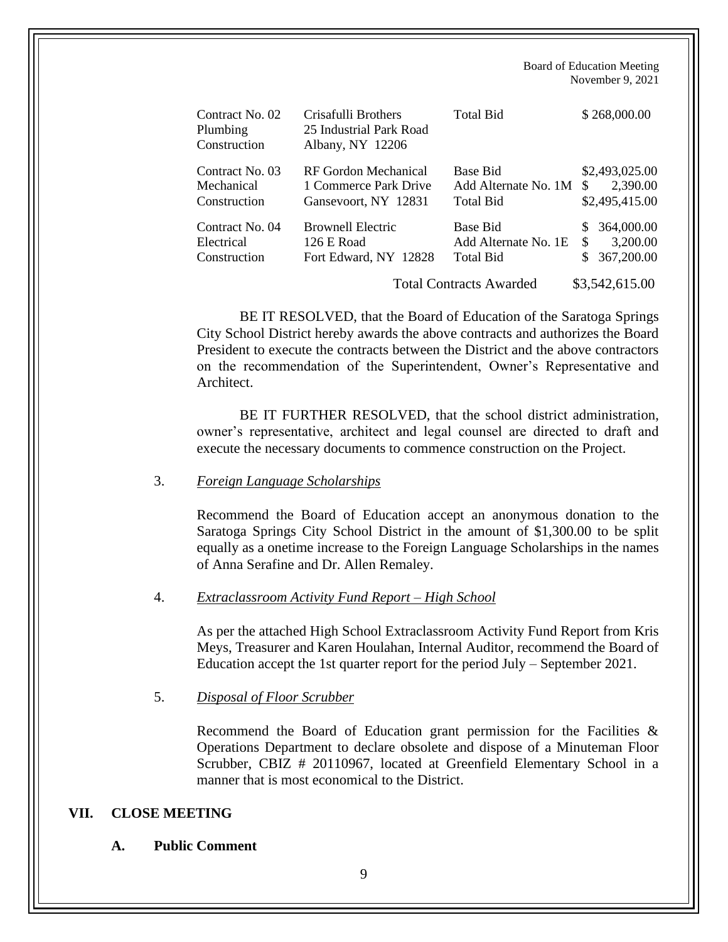| Contract No. 02<br>Plumbing<br>Construction   | Crisafulli Brothers<br>25 Industrial Park Road<br>Albany, NY 12206    | <b>Total Bid</b>                                                                | \$268,000.00                                                        |
|-----------------------------------------------|-----------------------------------------------------------------------|---------------------------------------------------------------------------------|---------------------------------------------------------------------|
| Contract No. 03<br>Mechanical<br>Construction | RF Gordon Mechanical<br>1 Commerce Park Drive<br>Gansevoort, NY 12831 | Base Bid<br>Add Alternate No. 1M<br><b>Total Bid</b>                            | \$2,493,025.00<br>2,390.00<br>\$.<br>\$2,495,415.00                 |
| Contract No. 04<br>Electrical<br>Construction | <b>Brownell Electric</b><br>126 E Road<br>Fort Edward, NY 12828       | Base Bid<br>Add Alternate No. 1E<br>Total Bid<br><b>Total Contracts Awarded</b> | 364,000.00<br>\$.<br>\$<br>3,200.00<br>367,200.00<br>\$3,542,615.00 |

BE IT RESOLVED, that the Board of Education of the Saratoga Springs City School District hereby awards the above contracts and authorizes the Board President to execute the contracts between the District and the above contractors on the recommendation of the Superintendent, Owner's Representative and Architect.

BE IT FURTHER RESOLVED, that the school district administration, owner's representative, architect and legal counsel are directed to draft and execute the necessary documents to commence construction on the Project.

#### 3. *Foreign Language Scholarships*

Recommend the Board of Education accept an anonymous donation to the Saratoga Springs City School District in the amount of \$1,300.00 to be split equally as a onetime increase to the Foreign Language Scholarships in the names of Anna Serafine and Dr. Allen Remaley.

#### 4. *Extraclassroom Activity Fund Report – High School*

As per the attached High School Extraclassroom Activity Fund Report from Kris Meys, Treasurer and Karen Houlahan, Internal Auditor, recommend the Board of Education accept the 1st quarter report for the period July – September 2021.

### 5. *Disposal of Floor Scrubber*

Recommend the Board of Education grant permission for the Facilities & Operations Department to declare obsolete and dispose of a Minuteman Floor Scrubber, CBIZ # 20110967, located at Greenfield Elementary School in a manner that is most economical to the District.

### **VII. CLOSE MEETING**

#### **A. Public Comment**